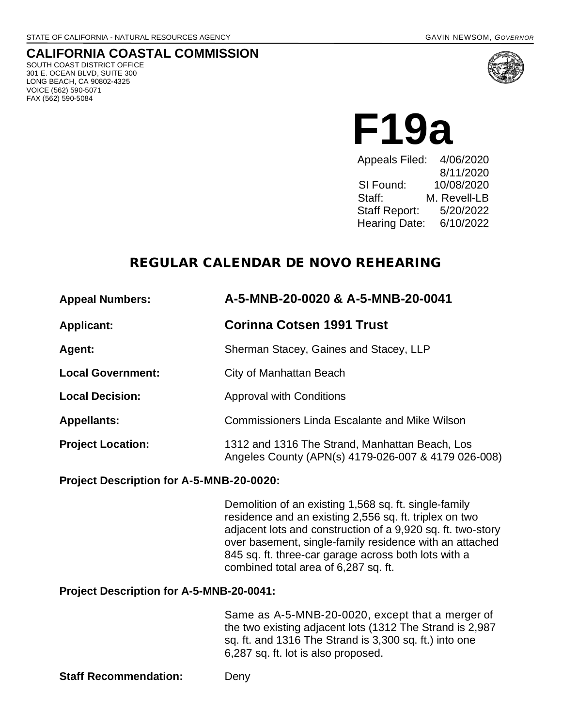# **CALIFORNIA COASTAL COMMISSION**

SOUTH COAST DISTRICT OFFICE 301 E. OCEAN BLVD, SUITE 300 LONG BEACH, CA 90802-4325 VOICE (562) 590-5071 FAX (562) 590-5084



**F19a** 

Appeals Filed: 8/11/2020 SI Found: 10/08/2020 Staff: M. Revell-LB Staff Report: 5/20/2022 Hearing Date: 6/10/2022

## REGULAR CALENDAR DE NOVO REHEARING

| <b>Appeal Numbers:</b>   | A-5-MNB-20-0020 & A-5-MNB-20-0041                                                                     |
|--------------------------|-------------------------------------------------------------------------------------------------------|
| <b>Applicant:</b>        | Corinna Cotsen 1991 Trust                                                                             |
| Agent:                   | Sherman Stacey, Gaines and Stacey, LLP                                                                |
| <b>Local Government:</b> | City of Manhattan Beach                                                                               |
| <b>Local Decision:</b>   | <b>Approval with Conditions</b>                                                                       |
| <b>Appellants:</b>       | <b>Commissioners Linda Escalante and Mike Wilson</b>                                                  |
| <b>Project Location:</b> | 1312 and 1316 The Strand, Manhattan Beach, Los<br>Angeles County (APN(s) 4179-026-007 & 4179 026-008) |

#### **Project Description for A-5-MNB-20-0020:**

Demolition of an existing 1,568 sq. ft. single-family residence and an existing 2,556 sq. ft. triplex on two adjacent lots and construction of a 9,920 sq. ft. two-story over basement, single-family residence with an attached 845 sq. ft. three-car garage across both lots with a combined total area of 6,287 sq. ft.

#### **Project Description for A-5-MNB-20-0041:**

Same as A-5-MNB-20-0020, except that a merger of the two existing adjacent lots (1312 The Strand is 2,987 sq. ft. and 1316 The Strand is 3,300 sq. ft.) into one 6,287 sq. ft. lot is also proposed.

**Staff Recommendation:** Deny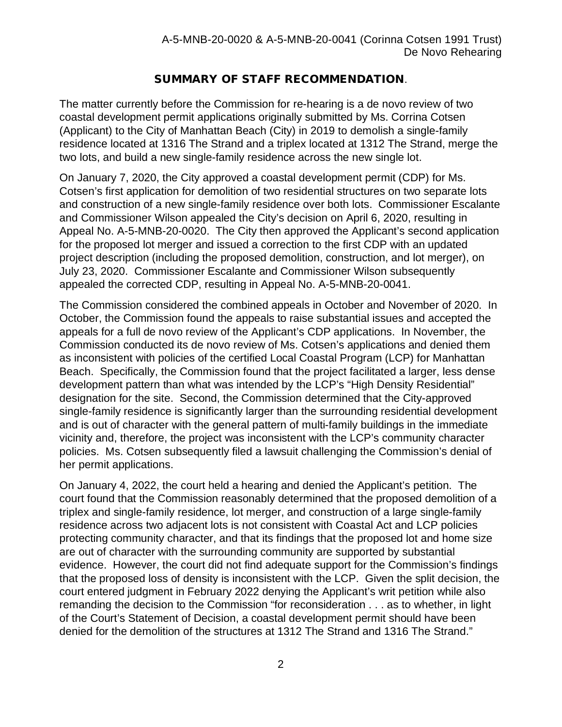## SUMMARY OF STAFF RECOMMENDATION.

The matter currently before the Commission for re-hearing is a de novo review of two coastal development permit applications originally submitted by Ms. Corrina Cotsen (Applicant) to the City of Manhattan Beach (City) in 2019 to demolish a single-family residence located at 1316 The Strand and a triplex located at 1312 The Strand, merge the two lots, and build a new single-family residence across the new single lot.

On January 7, 2020, the City approved a coastal development permit (CDP) for Ms. Cotsen's first application for demolition of two residential structures on two separate lots and construction of a new single-family residence over both lots. Commissioner Escalante and Commissioner Wilson appealed the City's decision on April 6, 2020, resulting in Appeal No. A-5-MNB-20-0020. The City then approved the Applicant's second application for the proposed lot merger and issued a correction to the first CDP with an updated project description (including the proposed demolition, construction, and lot merger), on July 23, 2020. Commissioner Escalante and Commissioner Wilson subsequently appealed the corrected CDP, resulting in Appeal No. A-5-MNB-20-0041.

The Commission considered the combined appeals in October and November of 2020. In October, the Commission found the appeals to raise substantial issues and accepted the appeals for a full de novo review of the Applicant's CDP applications. In November, the Commission conducted its de novo review of Ms. Cotsen's applications and denied them as inconsistent with policies of the certified Local Coastal Program (LCP) for Manhattan Beach. Specifically, the Commission found that the project facilitated a larger, less dense development pattern than what was intended by the LCP's "High Density Residential" designation for the site. Second, the Commission determined that the City-approved single-family residence is significantly larger than the surrounding residential development and is out of character with the general pattern of multi-family buildings in the immediate vicinity and, therefore, the project was inconsistent with the LCP's community character policies. Ms. Cotsen subsequently filed a lawsuit challenging the Commission's denial of her permit applications.

On January 4, 2022, the court held a hearing and denied the Applicant's petition. The court found that the Commission reasonably determined that the proposed demolition of a triplex and single-family residence, lot merger, and construction of a large single-family residence across two adjacent lots is not consistent with Coastal Act and LCP policies protecting community character, and that its findings that the proposed lot and home size are out of character with the surrounding community are supported by substantial evidence. However, the court did not find adequate support for the Commission's findings that the proposed loss of density is inconsistent with the LCP. Given the split decision, the court entered judgment in February 2022 denying the Applicant's writ petition while also remanding the decision to the Commission "for reconsideration . . . as to whether, in light of the Court's Statement of Decision, a coastal development permit should have been denied for the demolition of the structures at 1312 The Strand and 1316 The Strand."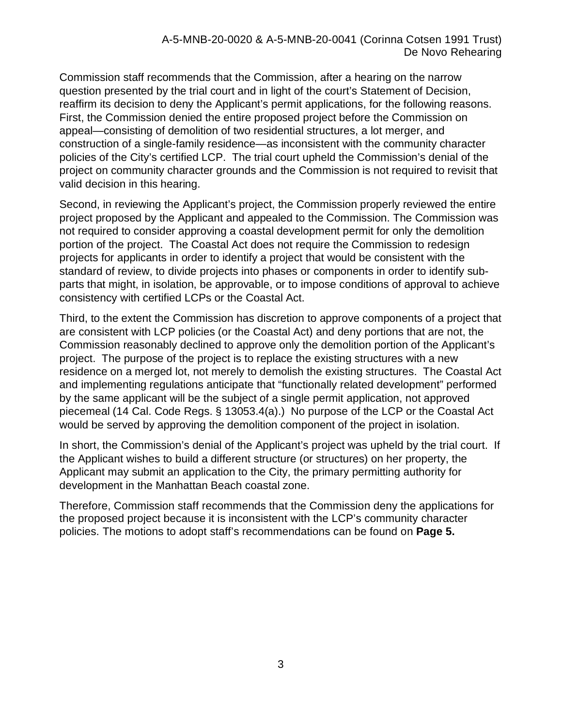Commission staff recommends that the Commission, after a hearing on the narrow question presented by the trial court and in light of the court's Statement of Decision, reaffirm its decision to deny the Applicant's permit applications, for the following reasons. First, the Commission denied the entire proposed project before the Commission on appeal—consisting of demolition of two residential structures, a lot merger, and construction of a single-family residence—as inconsistent with the community character policies of the City's certified LCP. The trial court upheld the Commission's denial of the project on community character grounds and the Commission is not required to revisit that valid decision in this hearing.

Second, in reviewing the Applicant's project, the Commission properly reviewed the entire project proposed by the Applicant and appealed to the Commission. The Commission was not required to consider approving a coastal development permit for only the demolition portion of the project. The Coastal Act does not require the Commission to redesign projects for applicants in order to identify a project that would be consistent with the standard of review, to divide projects into phases or components in order to identify subparts that might, in isolation, be approvable, or to impose conditions of approval to achieve consistency with certified LCPs or the Coastal Act.

Third, to the extent the Commission has discretion to approve components of a project that are consistent with LCP policies (or the Coastal Act) and deny portions that are not, the Commission reasonably declined to approve only the demolition portion of the Applicant's project. The purpose of the project is to replace the existing structures with a new residence on a merged lot, not merely to demolish the existing structures. The Coastal Act and implementing regulations anticipate that "functionally related development" performed by the same applicant will be the subject of a single permit application, not approved piecemeal (14 Cal. Code Regs. § 13053.4(a).) No purpose of the LCP or the Coastal Act would be served by approving the demolition component of the project in isolation.

In short, the Commission's denial of the Applicant's project was upheld by the trial court. If the Applicant wishes to build a different structure (or structures) on her property, the Applicant may submit an application to the City, the primary permitting authority for development in the Manhattan Beach coastal zone.

Therefore, Commission staff recommends that the Commission deny the applications for the proposed project because it is inconsistent with the LCP's community character policies. The motions to adopt staff's recommendations can be found on **Page 5.**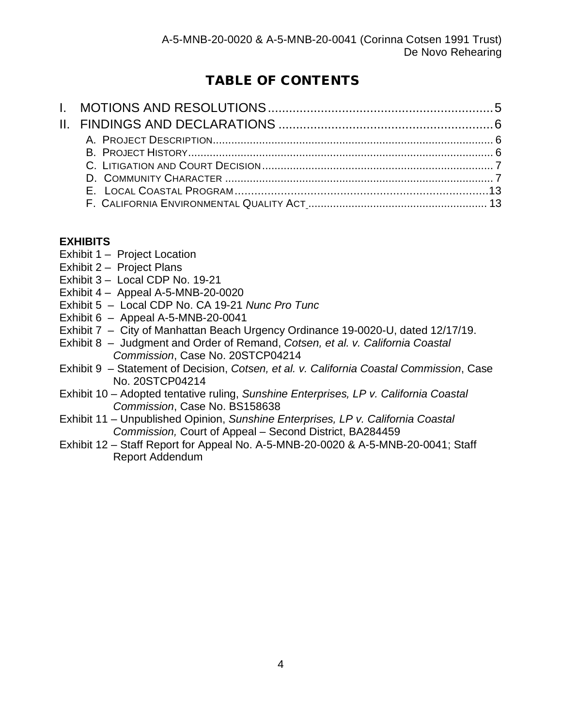# TABLE OF CONTENTS

## **[EXHIBITS](about:blank)**

- Exhibit 1 Project Location
- Exhibit 2 Project Plans
- Exhibit 3 Local CDP No. 19-21
- Exhibit 4 Appeal A-5-MNB-20-0020
- Exhibit 5 Local CDP No. CA 19-21 *Nunc Pro Tunc*
- Exhibit 6 Appeal A-5-MNB-20-0041
- Exhibit 7 City of Manhattan Beach Urgency Ordinance 19-0020-U, dated 12/17/19.
- Exhibit 8 Judgment and Order of Remand, *Cotsen, et al. v. California Coastal Commission*, Case No. 20STCP04214
- Exhibit 9 Statement of Decision, *Cotsen, et al. v. California Coastal Commission*, Case No. 20STCP04214
- Exhibit 10 Adopted tentative ruling, *Sunshine Enterprises, LP v. California Coastal Commission*, Case No. BS158638
- Exhibit 11 Unpublished Opinion, *Sunshine Enterprises, LP v. California Coastal Commission,* Court of Appeal – Second District, BA284459
- Exhibit 12 Staff Report for Appeal No. A-5-MNB-20-0020 & A-5-MNB-20-0041; Staff Report Addendum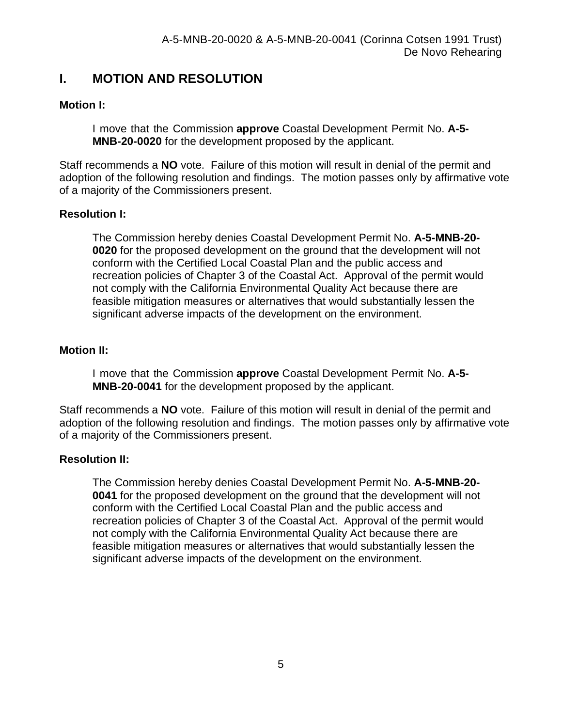## **I. MOTION AND RESOLUTION**

## **Motion I:**

I move that the Commission **approve** Coastal Development Permit No. **A-5- MNB-20-0020** for the development proposed by the applicant.

Staff recommends a **NO** vote. Failure of this motion will result in denial of the permit and adoption of the following resolution and findings. The motion passes only by affirmative vote of a majority of the Commissioners present.

## **Resolution I:**

The Commission hereby denies Coastal Development Permit No. **A-5-MNB-20- 0020** for the proposed development on the ground that the development will not conform with the Certified Local Coastal Plan and the public access and recreation policies of Chapter 3 of the Coastal Act. Approval of the permit would not comply with the California Environmental Quality Act because there are feasible mitigation measures or alternatives that would substantially lessen the significant adverse impacts of the development on the environment.

### **Motion II:**

I move that the Commission **approve** Coastal Development Permit No. **A-5- MNB-20-0041** for the development proposed by the applicant.

Staff recommends a **NO** vote. Failure of this motion will result in denial of the permit and adoption of the following resolution and findings. The motion passes only by affirmative vote of a majority of the Commissioners present.

#### **Resolution II:**

The Commission hereby denies Coastal Development Permit No. **A-5-MNB-20- 0041** for the proposed development on the ground that the development will not conform with the Certified Local Coastal Plan and the public access and recreation policies of Chapter 3 of the Coastal Act. Approval of the permit would not comply with the California Environmental Quality Act because there are feasible mitigation measures or alternatives that would substantially lessen the significant adverse impacts of the development on the environment.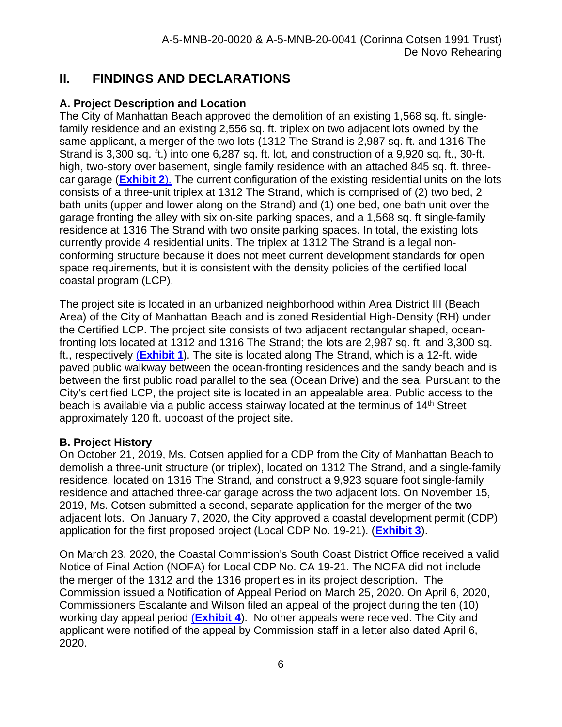## **II. FINDINGS AND DECLARATIONS**

## **A. Project Description and Location**

The City of Manhattan Beach approved the demolition of an existing 1,568 sq. ft. singlefamily residence and an existing 2,556 sq. ft. triplex on two adjacent lots owned by the same applicant, a merger of the two lots (1312 The Strand is 2,987 sq. ft. and 1316 The Strand is 3,300 sq. ft.) into one 6,287 sq. ft. lot, and construction of a 9,920 sq. ft., 30-ft. high, two-story over basement, single family residence with an attached 845 sq. ft. threecar garage (**[Exhibit 2](https://documents.coastal.ca.gov/reports/2022/6/F19a/F19a-6-2022-exhibits.pdf)**). The current configuration of the existing residential units on the lots consists of a three-unit triplex at 1312 The Strand, which is comprised of (2) two bed, 2 bath units (upper and lower along on the Strand) and (1) one bed, one bath unit over the garage fronting the alley with six on-site parking spaces, and a 1,568 sq. ft single-family residence at 1316 The Strand with two onsite parking spaces. In total, the existing lots currently provide 4 residential units. The triplex at 1312 The Strand is a legal nonconforming structure because it does not meet current development standards for open space requirements, but it is consistent with the density policies of the certified local coastal program (LCP).

The project site is located in an urbanized neighborhood within Area District III (Beach Area) of the City of Manhattan Beach and is zoned Residential High-Density (RH) under the Certified LCP. The project site consists of two adjacent rectangular shaped, oceanfronting lots located at 1312 and 1316 The Strand; the lots are 2,987 sq. ft. and 3,300 sq. ft., respectively (**[Exhibit 1](https://documents.coastal.ca.gov/reports/2022/6/F19a/F19a-6-2022-exhibits.pdf)**). The site is located along The Strand, which is a 12-ft. wide paved public walkway between the ocean-fronting residences and the sandy beach and is between the first public road parallel to the sea (Ocean Drive) and the sea. Pursuant to the City's certified LCP, the project site is located in an appealable area. Public access to the beach is available via a public access stairway located at the terminus of  $14<sup>th</sup>$  Street approximately 120 ft. upcoast of the project site.

## **B. Project History**

On October 21, 2019, Ms. Cotsen applied for a CDP from the City of Manhattan Beach to demolish a three-unit structure (or triplex), located on 1312 The Strand, and a single-family residence, located on 1316 The Strand, and construct a 9,923 square foot single-family residence and attached three-car garage across the two adjacent lots. On November 15, 2019, Ms. Cotsen submitted a second, separate application for the merger of the two adjacent lots. On January 7, 2020, the City approved a coastal development permit (CDP) application for the first proposed project (Local CDP No. 19-21). (**[Exhibit 3](https://documents.coastal.ca.gov/reports/2022/6/F19a/F19a-6-2022-exhibits.pdf)**).

On March 23, 2020, the Coastal Commission's South Coast District Office received a valid Notice of Final Action (NOFA) for Local CDP No. CA 19-21. The NOFA did not include the merger of the 1312 and the 1316 properties in its project description. The Commission issued a Notification of Appeal Period on March 25, 2020. On April 6, 2020, Commissioners Escalante and Wilson filed an appeal of the project during the ten (10) working day appeal period (**[Exhibit 4](https://documents.coastal.ca.gov/reports/2022/6/F19a/F19a-6-2022-exhibits.pdf)**). No other appeals were received. The City and applicant were notified of the appeal by Commission staff in a letter also dated April 6, 2020.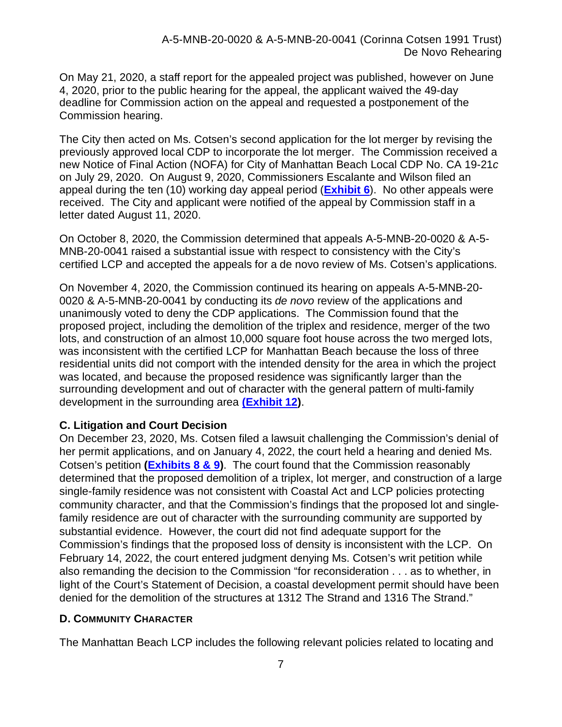On May 21, 2020, a staff report for the appealed project was published, however on June 4, 2020, prior to the public hearing for the appeal, the applicant waived the 49-day deadline for Commission action on the appeal and requested a postponement of the Commission hearing.

The City then acted on Ms. Cotsen's second application for the lot merger by revising the previously approved local CDP to incorporate the lot merger. The Commission received a new Notice of Final Action (NOFA) for City of Manhattan Beach Local CDP No. CA 19-21*c* on July 29, 2020. On August 9, 2020, Commissioners Escalante and Wilson filed an appeal during the ten (10) working day appeal period (**[Exhibit 6](https://documents.coastal.ca.gov/reports/2022/6/F19a/F19a-6-2022-exhibits.pdf)**). No other appeals were received. The City and applicant were notified of the appeal by Commission staff in a letter dated August 11, 2020.

On October 8, 2020, the Commission determined that appeals A-5-MNB-20-0020 & A-5- MNB-20-0041 raised a substantial issue with respect to consistency with the City's certified LCP and accepted the appeals for a de novo review of Ms. Cotsen's applications.

On November 4, 2020, the Commission continued its hearing on appeals A-5-MNB-20- 0020 & A-5-MNB-20-0041 by conducting its *de novo* review of the applications and unanimously voted to deny the CDP applications. The Commission found that the proposed project, including the demolition of the triplex and residence, merger of the two lots, and construction of an almost 10,000 square foot house across the two merged lots, was inconsistent with the certified LCP for Manhattan Beach because the loss of three residential units did not comport with the intended density for the area in which the project was located, and because the proposed residence was significantly larger than the surrounding development and out of character with the general pattern of multi-family development in the surrounding area **[\(Exhibit 12\)](https://documents.coastal.ca.gov/reports/2022/6/F19a/F19a-6-2022-exhibits.pdf)**.

#### **C. Litigation and Court Decision**

On December 23, 2020, Ms. Cotsen filed a lawsuit challenging the Commission's denial of her permit applications, and on January 4, 2022, the court held a hearing and denied Ms. Cotsen's petition **[\(Exhibits 8 & 9\)](https://documents.coastal.ca.gov/reports/2022/6/F19a/F19a-6-2022-exhibits.pdf)**. The court found that the Commission reasonably determined that the proposed demolition of a triplex, lot merger, and construction of a large single-family residence was not consistent with Coastal Act and LCP policies protecting community character, and that the Commission's findings that the proposed lot and singlefamily residence are out of character with the surrounding community are supported by substantial evidence. However, the court did not find adequate support for the Commission's findings that the proposed loss of density is inconsistent with the LCP. On February 14, 2022, the court entered judgment denying Ms. Cotsen's writ petition while also remanding the decision to the Commission "for reconsideration . . . as to whether, in light of the Court's Statement of Decision, a coastal development permit should have been denied for the demolition of the structures at 1312 The Strand and 1316 The Strand."

#### **D. COMMUNITY CHARACTER**

The Manhattan Beach LCP includes the following relevant policies related to locating and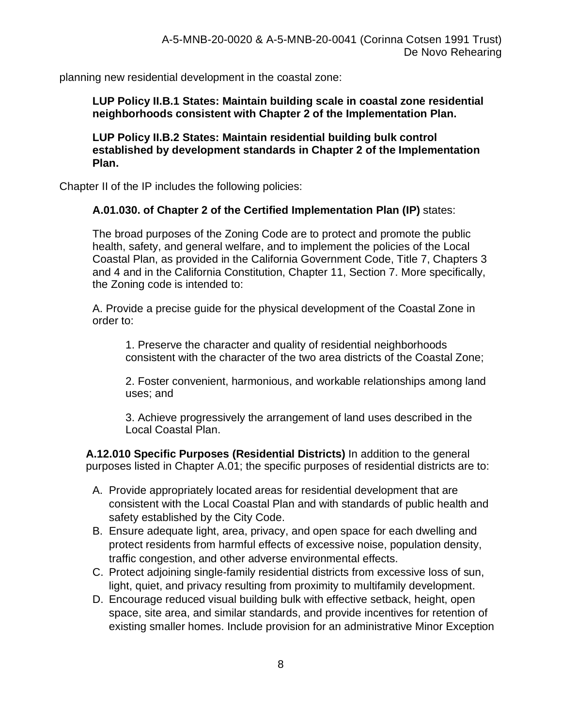planning new residential development in the coastal zone:

**LUP Policy II.B.1 States: Maintain building scale in coastal zone residential neighborhoods consistent with Chapter 2 of the Implementation Plan.**

**LUP Policy II.B.2 States: Maintain residential building bulk control established by development standards in Chapter 2 of the Implementation Plan.**

Chapter II of the IP includes the following policies:

### **A.01.030. of Chapter 2 of the Certified Implementation Plan (IP)** states:

The broad purposes of the Zoning Code are to protect and promote the public health, safety, and general welfare, and to implement the policies of the Local Coastal Plan, as provided in the California Government Code, Title 7, Chapters 3 and 4 and in the California Constitution, Chapter 11, Section 7. More specifically, the Zoning code is intended to:

A. Provide a precise guide for the physical development of the Coastal Zone in order to:

1. Preserve the character and quality of residential neighborhoods consistent with the character of the two area districts of the Coastal Zone;

2. Foster convenient, harmonious, and workable relationships among land uses; and

3. Achieve progressively the arrangement of land uses described in the Local Coastal Plan.

**A.12.010 Specific Purposes (Residential Districts)** In addition to the general purposes listed in Chapter A.01; the specific purposes of residential districts are to:

- A. Provide appropriately located areas for residential development that are consistent with the Local Coastal Plan and with standards of public health and safety established by the City Code.
- B. Ensure adequate light, area, privacy, and open space for each dwelling and protect residents from harmful effects of excessive noise, population density, traffic congestion, and other adverse environmental effects.
- C. Protect adjoining single-family residential districts from excessive loss of sun, light, quiet, and privacy resulting from proximity to multifamily development.
- D. Encourage reduced visual building bulk with effective setback, height, open space, site area, and similar standards, and provide incentives for retention of existing smaller homes. Include provision for an administrative Minor Exception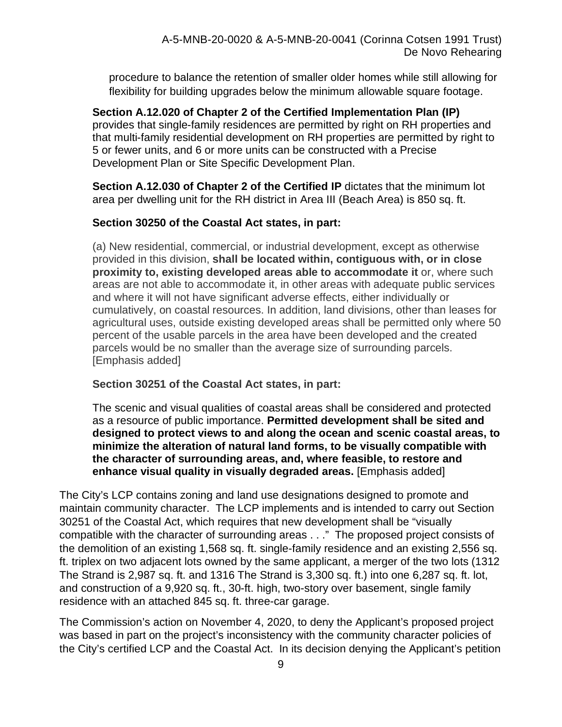procedure to balance the retention of smaller older homes while still allowing for flexibility for building upgrades below the minimum allowable square footage.

**Section A.12.020 of Chapter 2 of the Certified Implementation Plan (IP)** provides that single-family residences are permitted by right on RH properties and that multi-family residential development on RH properties are permitted by right to 5 or fewer units, and 6 or more units can be constructed with a Precise Development Plan or Site Specific Development Plan.

**Section A.12.030 of Chapter 2 of the Certified IP** dictates that the minimum lot area per dwelling unit for the RH district in Area III (Beach Area) is 850 sq. ft.

### **Section 30250 of the Coastal Act states, in part:**

(a) New residential, commercial, or industrial development, except as otherwise provided in this division, **shall be located within, contiguous with, or in close proximity to, existing developed areas able to accommodate it** or, where such areas are not able to accommodate it, in other areas with adequate public services and where it will not have significant adverse effects, either individually or cumulatively, on coastal resources. In addition, land divisions, other than leases for agricultural uses, outside existing developed areas shall be permitted only where 50 percent of the usable parcels in the area have been developed and the created parcels would be no smaller than the average size of surrounding parcels. [Emphasis added]

#### **Section 30251 of the Coastal Act states, in part:**

The scenic and visual qualities of coastal areas shall be considered and protected as a resource of public importance. **Permitted development shall be sited and designed to protect views to and along the ocean and scenic coastal areas, to minimize the alteration of natural land forms, to be visually compatible with the character of surrounding areas, and, where feasible, to restore and enhance visual quality in visually degraded areas.** [Emphasis added]

The City's LCP contains zoning and land use designations designed to promote and maintain community character. The LCP implements and is intended to carry out Section 30251 of the Coastal Act, which requires that new development shall be "visually compatible with the character of surrounding areas . . ." The proposed project consists of the demolition of an existing 1,568 sq. ft. single-family residence and an existing 2,556 sq. ft. triplex on two adjacent lots owned by the same applicant, a merger of the two lots (1312 The Strand is 2,987 sq. ft. and 1316 The Strand is 3,300 sq. ft.) into one 6,287 sq. ft. lot, and construction of a 9,920 sq. ft., 30-ft. high, two-story over basement, single family residence with an attached 845 sq. ft. three-car garage.

The Commission's action on November 4, 2020, to deny the Applicant's proposed project was based in part on the project's inconsistency with the community character policies of the City's certified LCP and the Coastal Act. In its decision denying the Applicant's petition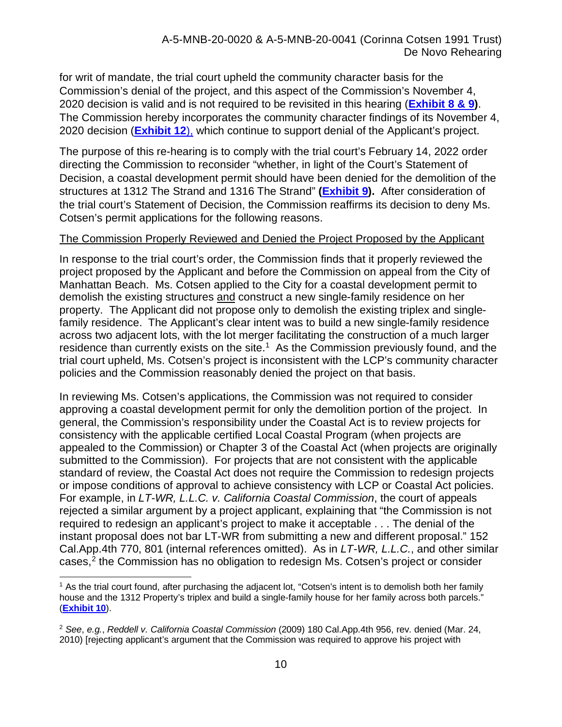for writ of mandate, the trial court upheld the community character basis for the Commission's denial of the project, and this aspect of the Commission's November 4, 2020 decision is valid and is not required to be revisited in this hearing (**[Exhibit 8 & 9\)](https://documents.coastal.ca.gov/reports/2022/6/F19a/F19a-6-2022-exhibits.pdf)**. The Commission hereby incorporates the community character findings of its November 4, 2020 decision (**[Exhibit 12](https://documents.coastal.ca.gov/reports/2022/6/F19a/F19a-6-2022-exhibits.pdf)**), which continue to support denial of the Applicant's project.

The purpose of this re-hearing is to comply with the trial court's February 14, 2022 order directing the Commission to reconsider "whether, in light of the Court's Statement of Decision, a coastal development permit should have been denied for the demolition of the structures at 1312 The Strand and 1316 The Strand" **[\(Exhibit 9\)](https://documents.coastal.ca.gov/reports/2022/6/F19a/F19a-6-2022-exhibits.pdf).** After consideration of the trial court's Statement of Decision, the Commission reaffirms its decision to deny Ms. Cotsen's permit applications for the following reasons.

#### The Commission Properly Reviewed and Denied the Project Proposed by the Applicant

In response to the trial court's order, the Commission finds that it properly reviewed the project proposed by the Applicant and before the Commission on appeal from the City of Manhattan Beach. Ms. Cotsen applied to the City for a coastal development permit to demolish the existing structures and construct a new single-family residence on her property. The Applicant did not propose only to demolish the existing triplex and singlefamily residence. The Applicant's clear intent was to build a new single-family residence across two adjacent lots, with the lot merger facilitating the construction of a much larger residence than currently exists on the site.<sup>1</sup> As the Commission previously found, and the trial court upheld, Ms. Cotsen's project is inconsistent with the LCP's community character policies and the Commission reasonably denied the project on that basis.

In reviewing Ms. Cotsen's applications, the Commission was not required to consider approving a coastal development permit for only the demolition portion of the project. In general, the Commission's responsibility under the Coastal Act is to review projects for consistency with the applicable certified Local Coastal Program (when projects are appealed to the Commission) or Chapter 3 of the Coastal Act (when projects are originally submitted to the Commission). For projects that are not consistent with the applicable standard of review, the Coastal Act does not require the Commission to redesign projects or impose conditions of approval to achieve consistency with LCP or Coastal Act policies. For example, in *LT-WR, L.L.C. v. California Coastal Commission*, the court of appeals rejected a similar argument by a project applicant, explaining that "the Commission is not required to redesign an applicant's project to make it acceptable . . . The denial of the instant proposal does not bar LT-WR from submitting a new and different proposal." 152 Cal.App.4th 770, 801 (internal references omitted). As in *LT-WR, L.L.C.*, and other similar cases,<sup>[2](#page-9-1)</sup> the Commission has no obligation to redesign Ms. Cotsen's project or consider

<span id="page-9-0"></span> $1$  As the trial court found, after purchasing the adjacent lot, "Cotsen's intent is to demolish both her family house and the 1312 Property's triplex and build a single-family house for her family across both parcels." (**[Exhibit 10](https://documents.coastal.ca.gov/reports/2022/6/F19a/F19a-6-2022-exhibits.pdf)**).

<span id="page-9-1"></span><sup>2</sup> *See*, *e.g.*, *Reddell v. California Coastal Commission* (2009) 180 Cal.App.4th 956, rev. denied (Mar. 24, 2010) [rejecting applicant's argument that the Commission was required to approve his project with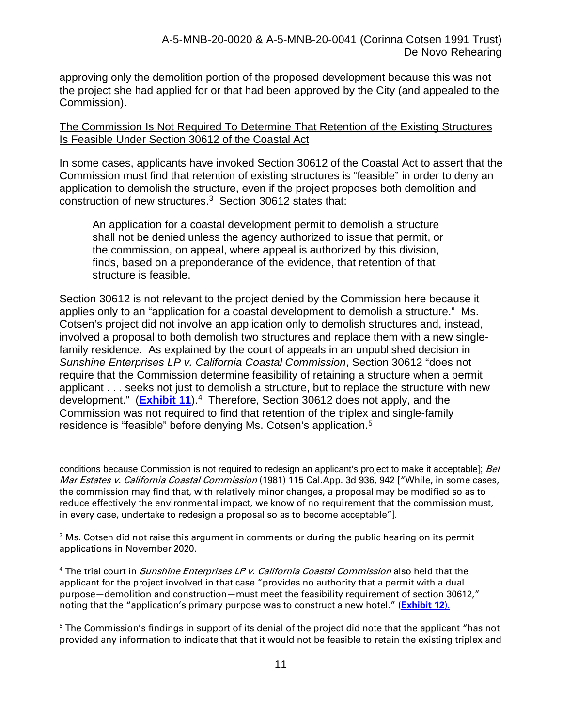approving only the demolition portion of the proposed development because this was not the project she had applied for or that had been approved by the City (and appealed to the Commission).

#### The Commission Is Not Required To Determine That Retention of the Existing Structures Is Feasible Under Section 30612 of the Coastal Act

In some cases, applicants have invoked Section 30612 of the Coastal Act to assert that the Commission must find that retention of existing structures is "feasible" in order to deny an application to demolish the structure, even if the project proposes both demolition and construction of new structures. [3](#page-10-0) Section 30612 states that:

An application for a coastal development permit to demolish a structure shall not be denied unless the agency authorized to issue that permit, or the commission, on appeal, where appeal is authorized by this division, finds, based on a preponderance of the evidence, that retention of that structure is feasible.

Section 30612 is not relevant to the project denied by the Commission here because it applies only to an "application for a coastal development to demolish a structure." Ms. Cotsen's project did not involve an application only to demolish structures and, instead, involved a proposal to both demolish two structures and replace them with a new singlefamily residence. As explained by the court of appeals in an unpublished decision in *Sunshine Enterprises LP v. California Coastal Commission*, Section 30612 "does not require that the Commission determine feasibility of retaining a structure when a permit applicant . . . seeks not just to demolish a structure, but to replace the structure with new development." (**[Exhibit 11](https://documents.coastal.ca.gov/reports/2022/6/F19a/F19a-6-2022-exhibits.pdf)**).[4](#page-10-1) Therefore, Section 30612 does not apply, and the Commission was not required to find that retention of the triplex and single-family residence is "feasible" before denying Ms. Cotsen's application.[5](#page-10-2)

conditions because Commission is not required to redesign an applicant's project to make it acceptable]; Bel Mar Estates v. California Coastal Commission (1981) 115 Cal.App. 3d 936, 942 ["While, in some cases, the commission may find that, with relatively minor changes, a proposal may be modified so as to reduce effectively the environmental impact, we know of no requirement that the commission must, in every case, undertake to redesign a proposal so as to become acceptable"]*.* 

<span id="page-10-0"></span> $3$  Ms. Cotsen did not raise this argument in comments or during the public hearing on its permit applications in November 2020.

<span id="page-10-1"></span><sup>&</sup>lt;sup>4</sup> The trial court in *Sunshine Enterprises LP v. California Coastal Commission* also held that the applicant for the project involved in that case "provides no authority that a permit with a dual purpose—demolition and construction—must meet the feasibility requirement of section 30612," noting that the "application's primary purpose was to construct a new hotel." (**[Exhibit 12](https://documents.coastal.ca.gov/reports/2022/6/F19a/F19a-6-2022-exhibits.pdf)**).

<span id="page-10-2"></span><sup>&</sup>lt;sup>5</sup> The Commission's findings in support of its denial of the project did note that the applicant "has not provided any information to indicate that that it would not be feasible to retain the existing triplex and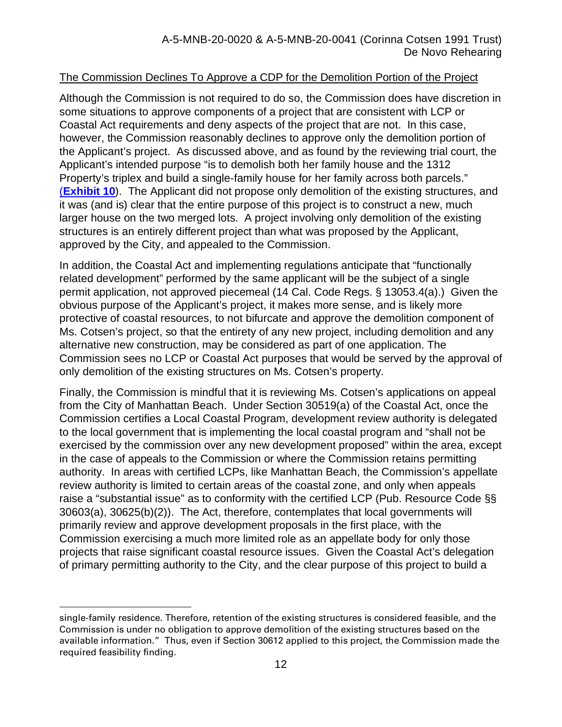#### The Commission Declines To Approve a CDP for the Demolition Portion of the Project

Although the Commission is not required to do so, the Commission does have discretion in some situations to approve components of a project that are consistent with LCP or Coastal Act requirements and deny aspects of the project that are not. In this case, however, the Commission reasonably declines to approve only the demolition portion of the Applicant's project. As discussed above, and as found by the reviewing trial court, the Applicant's intended purpose "is to demolish both her family house and the 1312 Property's triplex and build a single-family house for her family across both parcels." (**Exhibit 10**). The Applicant did not propose only demolition of the existing structures, and it was (and is) clear that the entire purpose of this project is to construct a new, much larger house on the two merged lots. A project involving only demolition of the existing structures is an entirely different project than what was proposed by the Applicant, approved by the City, and appealed to the Commission.

In addition, the Coastal Act and implementing regulations anticipate that "functionally related development" performed by the same applicant will be the subject of a single permit application, not approved piecemeal (14 Cal. Code Regs. § 13053.4(a).) Given the obvious purpose of the Applicant's project, it makes more sense, and is likely more protective of coastal resources, to not bifurcate and approve the demolition component of Ms. Cotsen's project, so that the entirety of any new project, including demolition and any alternative new construction, may be considered as part of one application. The Commission sees no LCP or Coastal Act purposes that would be served by the approval of only demolition of the existing structures on Ms. Cotsen's property.

Finally, the Commission is mindful that it is reviewing Ms. Cotsen's applications on appeal from the City of Manhattan Beach. Under Section 30519(a) of the Coastal Act, once the Commission certifies a Local Coastal Program, development review authority is delegated to the local government that is implementing the local coastal program and "shall not be exercised by the commission over any new development proposed" within the area, except in the case of appeals to the Commission or where the Commission retains permitting authority. In areas with certified LCPs, like Manhattan Beach, the Commission's appellate review authority is limited to certain areas of the coastal zone, and only when appeals raise a "substantial issue" as to conformity with the certified LCP (Pub. Resource Code §§ 30603(a), 30625(b)(2)). The Act, therefore, contemplates that local governments will primarily review and approve development proposals in the first place, with the Commission exercising a much more limited role as an appellate body for only those projects that raise significant coastal resource issues. Given the Coastal Act's delegation of primary permitting authority to the City, and the clear purpose of this project to build a

single-family residence. Therefore, retention of the existing structures is considered feasible, and the Commission is under no obligation to approve demolition of the existing structures based on the available information." Thus, even if Section 30612 applied to this project, the Commission made the required feasibility finding.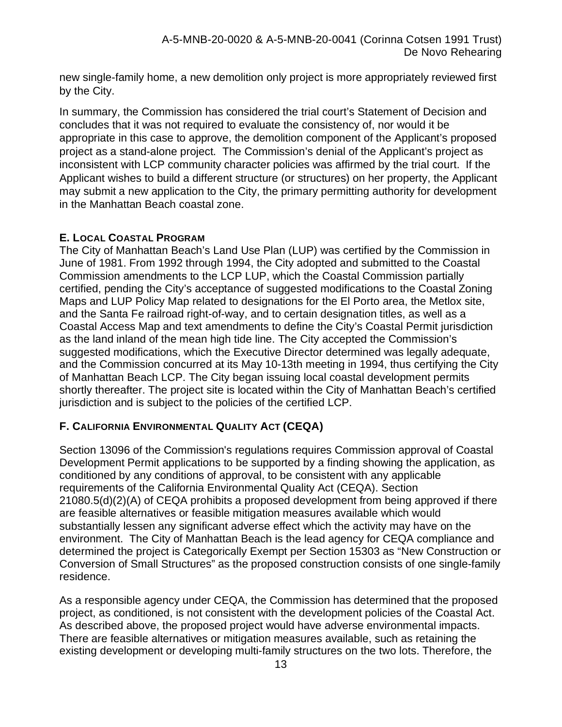new single-family home, a new demolition only project is more appropriately reviewed first by the City.

In summary, the Commission has considered the trial court's Statement of Decision and concludes that it was not required to evaluate the consistency of, nor would it be appropriate in this case to approve, the demolition component of the Applicant's proposed project as a stand-alone project. The Commission's denial of the Applicant's project as inconsistent with LCP community character policies was affirmed by the trial court. If the Applicant wishes to build a different structure (or structures) on her property, the Applicant may submit a new application to the City, the primary permitting authority for development in the Manhattan Beach coastal zone.

### **E. LOCAL COASTAL PROGRAM**

The City of Manhattan Beach's Land Use Plan (LUP) was certified by the Commission in June of 1981. From 1992 through 1994, the City adopted and submitted to the Coastal Commission amendments to the LCP LUP, which the Coastal Commission partially certified, pending the City's acceptance of suggested modifications to the Coastal Zoning Maps and LUP Policy Map related to designations for the El Porto area, the Metlox site, and the Santa Fe railroad right-of-way, and to certain designation titles, as well as a Coastal Access Map and text amendments to define the City's Coastal Permit jurisdiction as the land inland of the mean high tide line. The City accepted the Commission's suggested modifications, which the Executive Director determined was legally adequate, and the Commission concurred at its May 10-13th meeting in 1994, thus certifying the City of Manhattan Beach LCP. The City began issuing local coastal development permits shortly thereafter. The project site is located within the City of Manhattan Beach's certified jurisdiction and is subject to the policies of the certified LCP.

## **F. CALIFORNIA ENVIRONMENTAL QUALITY ACT (CEQA)**

Section 13096 of the Commission's regulations requires Commission approval of Coastal Development Permit applications to be supported by a finding showing the application, as conditioned by any conditions of approval, to be consistent with any applicable requirements of the California Environmental Quality Act (CEQA). Section 21080.5(d)(2)(A) of CEQA prohibits a proposed development from being approved if there are feasible alternatives or feasible mitigation measures available which would substantially lessen any significant adverse effect which the activity may have on the environment. The City of Manhattan Beach is the lead agency for CEQA compliance and determined the project is Categorically Exempt per Section 15303 as "New Construction or Conversion of Small Structures" as the proposed construction consists of one single-family residence.

As a responsible agency under CEQA, the Commission has determined that the proposed project, as conditioned, is not consistent with the development policies of the Coastal Act. As described above, the proposed project would have adverse environmental impacts. There are feasible alternatives or mitigation measures available, such as retaining the existing development or developing multi-family structures on the two lots. Therefore, the